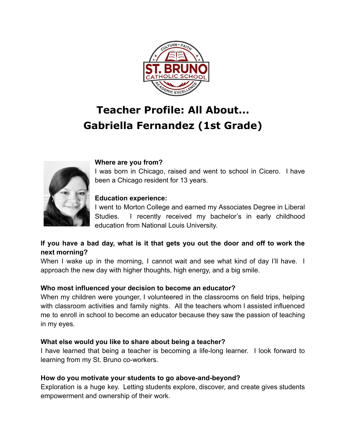

# **Teacher Profile: All About... Gabriella Fernandez (1st Grade)**



### **Where are you from?**

I was born in Chicago, raised and went to school in Cicero. I have been a Chicago resident for 13 years.

### **Education experience:**

I went to Morton College and earned my Associates Degree in Liberal Studies. I recently received my bachelor's in early childhood education from National Louis University.

# **If you have a bad day, what is it that gets you out the door and off to work the next morning?**

When I wake up in the morning, I cannot wait and see what kind of day I'll have. I approach the new day with higher thoughts, high energy, and a big smile.

# **Who most influenced your decision to become an educator?**

When my children were younger, I volunteered in the classrooms on field trips, helping with classroom activities and family nights. All the teachers whom I assisted influenced me to enroll in school to become an educator because they saw the passion of teaching in my eyes.

# **What else would you like to share about being a teacher?**

I have learned that being a teacher is becoming a life-long learner. I look forward to learning from my St. Bruno co-workers.

# **How do you motivate your students to go above-and-beyond?**

Exploration is a huge key. Letting students explore, discover, and create gives students empowerment and ownership of their work.